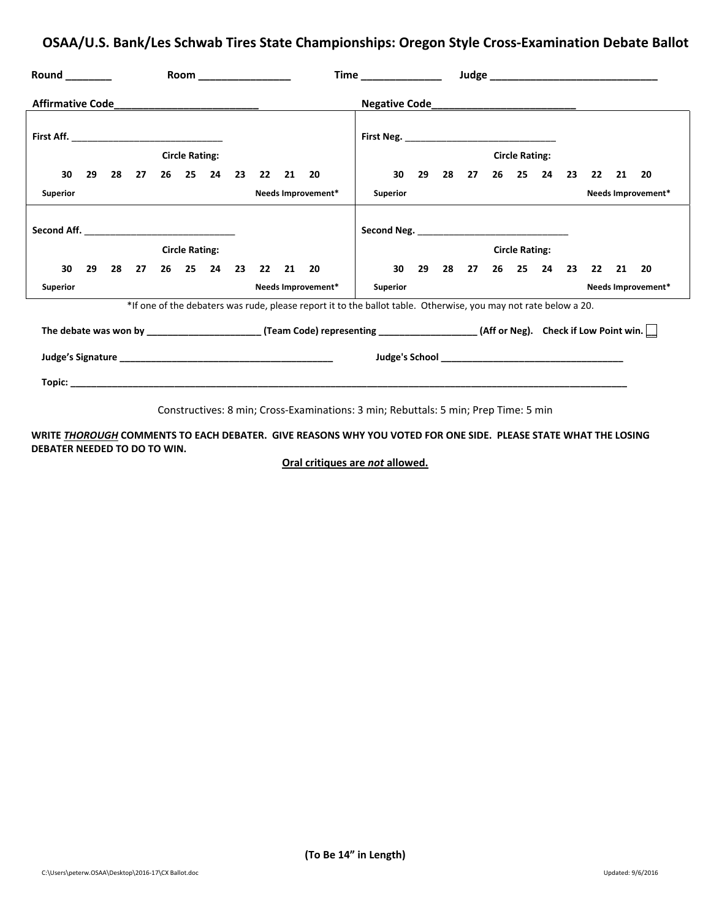## **OSAA/U.S. Bank/Les Schwab Tires State Championships: Oregon Style Cross‐Examination Debate Ballot**

| $Round$ <sub>_________</sub>                  | Room _________________ |                       |  |                            |                       |  |  | Time _______________ |                                                                                                                 |                                |  |  |  |             |  |                       |                                  |  |  |                    |
|-----------------------------------------------|------------------------|-----------------------|--|----------------------------|-----------------------|--|--|----------------------|-----------------------------------------------------------------------------------------------------------------|--------------------------------|--|--|--|-------------|--|-----------------------|----------------------------------|--|--|--------------------|
| Affirmative Code_____________________________ |                        |                       |  |                            |                       |  |  |                      |                                                                                                                 |                                |  |  |  |             |  |                       |                                  |  |  |                    |
|                                               |                        |                       |  |                            |                       |  |  |                      |                                                                                                                 |                                |  |  |  |             |  |                       |                                  |  |  |                    |
|                                               |                        | <b>Circle Rating:</b> |  |                            |                       |  |  |                      |                                                                                                                 |                                |  |  |  |             |  | <b>Circle Rating:</b> |                                  |  |  |                    |
| 30                                            | 29                     |                       |  | 28 27 26 25 24 23 22 21 20 |                       |  |  |                      |                                                                                                                 |                                |  |  |  | 30 29 28 27 |  |                       | 26 25 24 23 22 21 20             |  |  |                    |
| <b>Superior</b>                               |                        |                       |  |                            |                       |  |  |                      | Needs Improvement*                                                                                              | Needs Improvement*<br>Superior |  |  |  |             |  |                       |                                  |  |  |                    |
|                                               |                        |                       |  |                            |                       |  |  |                      |                                                                                                                 |                                |  |  |  |             |  |                       |                                  |  |  |                    |
|                                               |                        |                       |  |                            | <b>Circle Rating:</b> |  |  |                      |                                                                                                                 | <b>Circle Rating:</b>          |  |  |  |             |  |                       |                                  |  |  |                    |
| 30                                            | 29                     |                       |  | 28 27 26 25 24 23 22 21 20 |                       |  |  |                      |                                                                                                                 |                                |  |  |  |             |  |                       | 30 29 28 27 26 25 24 23 22 21 20 |  |  |                    |
| <b>Superior</b>                               |                        |                       |  |                            |                       |  |  |                      | Needs Improvement*                                                                                              | Superior                       |  |  |  |             |  |                       |                                  |  |  | Needs Improvement* |
|                                               |                        |                       |  |                            |                       |  |  |                      | *If one of the debaters was rude, please report it to the ballot table. Otherwise, you may not rate below a 20. |                                |  |  |  |             |  |                       |                                  |  |  |                    |
|                                               |                        |                       |  |                            |                       |  |  |                      |                                                                                                                 |                                |  |  |  |             |  |                       |                                  |  |  |                    |
|                                               |                        |                       |  |                            |                       |  |  |                      |                                                                                                                 |                                |  |  |  |             |  |                       |                                  |  |  |                    |
|                                               |                        |                       |  |                            |                       |  |  |                      |                                                                                                                 |                                |  |  |  |             |  |                       |                                  |  |  |                    |
|                                               |                        |                       |  |                            |                       |  |  |                      |                                                                                                                 |                                |  |  |  |             |  |                       |                                  |  |  |                    |

Constructives: 8 min; Cross‐Examinations: 3 min; Rebuttals: 5 min; Prep Time: 5 min

**WRITE** *THOROUGH* **COMMENTS TO EACH DEBATER. GIVE REASONS WHY YOU VOTED FOR ONE SIDE. PLEASE STATE WHAT THE LOSING DEBATER NEEDED TO DO TO WIN.**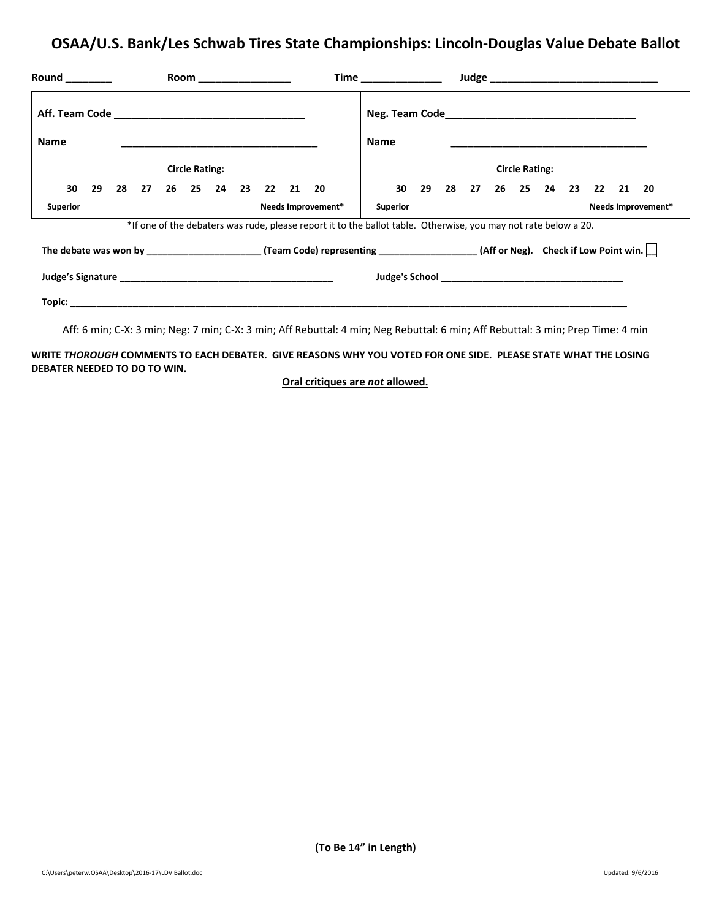## **OSAA/U.S. Bank/Les Schwab Tires State Championships: Lincoln‐Douglas Value Debate Ballot**

| Round ________ | Room __________________ |  |  |                       |  |  |             |  |                                                                                                                 |                       |  |  |  |  |  |  |  |  |  |                                  |  |  |  |  |  |  |  |
|----------------|-------------------------|--|--|-----------------------|--|--|-------------|--|-----------------------------------------------------------------------------------------------------------------|-----------------------|--|--|--|--|--|--|--|--|--|----------------------------------|--|--|--|--|--|--|--|
|                |                         |  |  |                       |  |  |             |  |                                                                                                                 |                       |  |  |  |  |  |  |  |  |  |                                  |  |  |  |  |  |  |  |
| <b>Name</b>    |                         |  |  |                       |  |  |             |  |                                                                                                                 | <b>Name</b>           |  |  |  |  |  |  |  |  |  |                                  |  |  |  |  |  |  |  |
|                |                         |  |  | <b>Circle Rating:</b> |  |  |             |  |                                                                                                                 | <b>Circle Rating:</b> |  |  |  |  |  |  |  |  |  |                                  |  |  |  |  |  |  |  |
| 30<br>29       | 28 27                   |  |  | 26 25 24              |  |  | 23 22 21 20 |  |                                                                                                                 |                       |  |  |  |  |  |  |  |  |  | 30 29 28 27 26 25 24 23 22 21 20 |  |  |  |  |  |  |  |
| Superior       | Needs Improvement*      |  |  |                       |  |  |             |  | Needs Improvement*<br>Superior                                                                                  |                       |  |  |  |  |  |  |  |  |  |                                  |  |  |  |  |  |  |  |
|                |                         |  |  |                       |  |  |             |  | *If one of the debaters was rude, please report it to the ballot table. Otherwise, you may not rate below a 20. |                       |  |  |  |  |  |  |  |  |  |                                  |  |  |  |  |  |  |  |
|                |                         |  |  |                       |  |  |             |  |                                                                                                                 |                       |  |  |  |  |  |  |  |  |  |                                  |  |  |  |  |  |  |  |
|                |                         |  |  |                       |  |  |             |  |                                                                                                                 |                       |  |  |  |  |  |  |  |  |  |                                  |  |  |  |  |  |  |  |
|                |                         |  |  |                       |  |  |             |  |                                                                                                                 |                       |  |  |  |  |  |  |  |  |  |                                  |  |  |  |  |  |  |  |
|                |                         |  |  |                       |  |  |             |  |                                                                                                                 |                       |  |  |  |  |  |  |  |  |  |                                  |  |  |  |  |  |  |  |

Aff: 6 min; C‐X: 3 min; Neg: 7 min; C‐X: 3 min; Aff Rebuttal: 4 min; Neg Rebuttal: 6 min; Aff Rebuttal: 3 min; Prep Time: 4 min

**WRITE** *THOROUGH* **COMMENTS TO EACH DEBATER. GIVE REASONS WHY YOU VOTED FOR ONE SIDE. PLEASE STATE WHAT THE LOSING DEBATER NEEDED TO DO TO WIN.**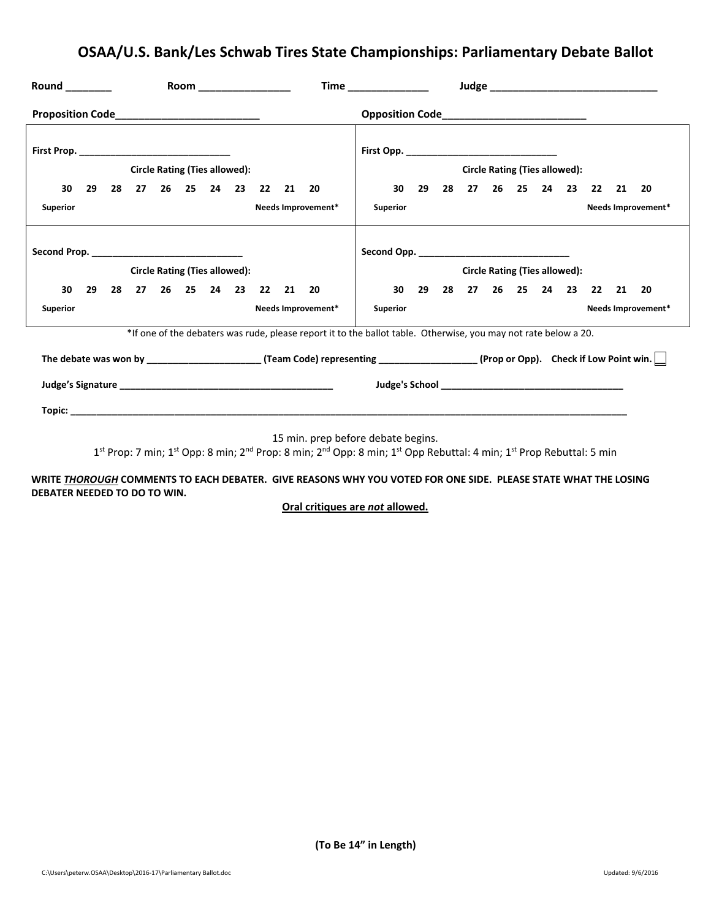## **OSAA/U.S. Bank/Les Schwab Tires State Championships: Parliamentary Debate Ballot**

|                                      | Round Notational Round<br>Room _________________ |  |  |  |  |                               |  |                                                       |  |                    |                                                                                                                                                                                             | Time ________________ |  |                                      |  |  |  |                    |                                  |  |                    |  |  |  |
|--------------------------------------|--------------------------------------------------|--|--|--|--|-------------------------------|--|-------------------------------------------------------|--|--------------------|---------------------------------------------------------------------------------------------------------------------------------------------------------------------------------------------|-----------------------|--|--------------------------------------|--|--|--|--------------------|----------------------------------|--|--------------------|--|--|--|
|                                      |                                                  |  |  |  |  |                               |  | <b>Opposition Code_______________________________</b> |  |                    |                                                                                                                                                                                             |                       |  |                                      |  |  |  |                    |                                  |  |                    |  |  |  |
|                                      |                                                  |  |  |  |  |                               |  |                                                       |  |                    |                                                                                                                                                                                             |                       |  |                                      |  |  |  |                    |                                  |  |                    |  |  |  |
|                                      | <b>Circle Rating (Ties allowed):</b>             |  |  |  |  |                               |  |                                                       |  |                    |                                                                                                                                                                                             |                       |  | <b>Circle Rating (Ties allowed):</b> |  |  |  |                    |                                  |  |                    |  |  |  |
| 30                                   |                                                  |  |  |  |  | 29 28 27 26 25 24 23 22 21 20 |  |                                                       |  |                    |                                                                                                                                                                                             |                       |  |                                      |  |  |  |                    | 30 29 28 27 26 25 24 23 22 21 20 |  |                    |  |  |  |
| <b>Superior</b>                      |                                                  |  |  |  |  |                               |  |                                                       |  | Needs Improvement* | <b>Superior</b>                                                                                                                                                                             |                       |  |                                      |  |  |  | Needs Improvement* |                                  |  |                    |  |  |  |
| <b>Circle Rating (Ties allowed):</b> |                                                  |  |  |  |  |                               |  |                                                       |  |                    |                                                                                                                                                                                             |                       |  |                                      |  |  |  |                    |                                  |  |                    |  |  |  |
|                                      |                                                  |  |  |  |  |                               |  |                                                       |  |                    |                                                                                                                                                                                             |                       |  | <b>Circle Rating (Ties allowed):</b> |  |  |  |                    |                                  |  |                    |  |  |  |
| 30                                   |                                                  |  |  |  |  | 29 28 27 26 25 24 23 22 21 20 |  |                                                       |  |                    |                                                                                                                                                                                             |                       |  |                                      |  |  |  |                    | 30 29 28 27 26 25 24 23 22 21 20 |  |                    |  |  |  |
| <b>Superior</b>                      |                                                  |  |  |  |  |                               |  |                                                       |  | Needs Improvement* | Superior                                                                                                                                                                                    |                       |  |                                      |  |  |  |                    |                                  |  | Needs Improvement* |  |  |  |
|                                      |                                                  |  |  |  |  |                               |  |                                                       |  |                    | *If one of the debaters was rude, please report it to the ballot table. Otherwise, you may not rate below a 20.                                                                             |                       |  |                                      |  |  |  |                    |                                  |  |                    |  |  |  |
|                                      |                                                  |  |  |  |  |                               |  |                                                       |  |                    |                                                                                                                                                                                             |                       |  |                                      |  |  |  |                    |                                  |  |                    |  |  |  |
|                                      |                                                  |  |  |  |  |                               |  |                                                       |  |                    |                                                                                                                                                                                             |                       |  |                                      |  |  |  |                    |                                  |  |                    |  |  |  |
|                                      |                                                  |  |  |  |  |                               |  |                                                       |  |                    |                                                                                                                                                                                             |                       |  |                                      |  |  |  |                    |                                  |  |                    |  |  |  |
|                                      |                                                  |  |  |  |  |                               |  |                                                       |  |                    | 15 min. prep before debate begins.                                                                                                                                                          |                       |  |                                      |  |  |  |                    |                                  |  |                    |  |  |  |
|                                      |                                                  |  |  |  |  |                               |  |                                                       |  |                    | 1 <sup>st</sup> Prop: 7 min; 1 <sup>st</sup> Opp: 8 min; 2 <sup>nd</sup> Prop: 8 min; 2 <sup>nd</sup> Opp: 8 min; 1 <sup>st</sup> Opp Rebuttal: 4 min; 1 <sup>st</sup> Prop Rebuttal: 5 min |                       |  |                                      |  |  |  |                    |                                  |  |                    |  |  |  |

**WRITE** *THOROUGH* **COMMENTS TO EACH DEBATER. GIVE REASONS WHY YOU VOTED FOR ONE SIDE. PLEASE STATE WHAT THE LOSING DEBATER NEEDED TO DO TO WIN.**